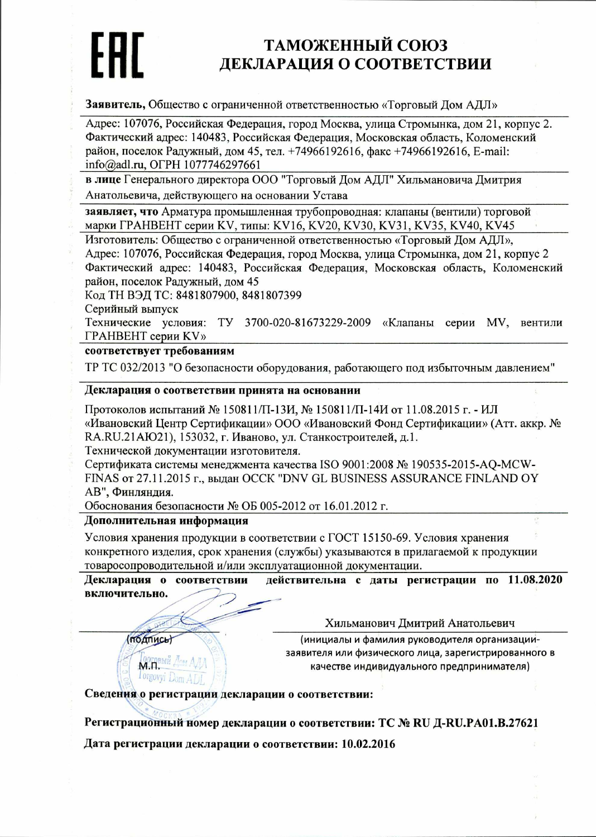# ТАМОЖЕННЫЙ СОЮЗ ДЕКЛАРАЦИЯ О СООТВЕТСТВИИ

Заявитель, Общество с ограниченной ответственностью «Торговый Дом АДЛ»

Адрес: 107076, Российская Федерация, город Москва, улица Стромынка, дом 21, корпус 2. Фактический адрес: 140483, Российская Федерация, Московская область, Коломенский район, поселок Радужный, дом 45, тел. +74966192616, факс +74966192616, E-mail: info@adl.ru, OFPH 1077746297661

в лице Генерального директора ООО "Торговый Дом АДЛ" Хильмановича Дмитрия Анатольевича, действующего на основании Устава

заявляет, что Арматура промышленная трубопроводная: клапаны (вентили) торговой марки ГРАНВЕНТ серии KV, типы: KV16, KV20, KV30, KV31, KV35, KV40, KV45

Изготовитель: Общество с ограниченной ответственностью «Торговый Дом АДЛ»,

Адрес: 107076, Российская Федерация, город Москва, улица Стромынка, дом 21, корпус 2 Фактический адрес: 140483, Российская Федерация, Московская область, Коломенский район, поселок Радужный, дом 45

Код ТН ВЭД ТС: 8481807900, 8481807399

Серийный выпуск

Технические условия: ТУ 3700-020-81673229-2009 «Клапаны серии MV, вентили ГРАНВЕНТ серии KV»

### соответствует требованиям

ТР ТС 032/2013 "О безопасности оборудования, работающего под избыточным давлением"

#### Декларация о соответствии принята на основании

Протоколов испытаний № 150811/П-13И, № 150811/П-14И от 11.08.2015 г. - ИЛ «Ивановский Центр Сертификации» ООО «Ивановский Фонд Сертификации» (Атт. аккр. № RA.RU.21AЮ21), 153032, г. Иваново, ул. Станкостроителей, д.1.

Технической документации изготовителя.

Сертификата системы менеджмента качества ISO 9001:2008 № 190535-2015-AQ-MCW-FINAS от 27.11.2015 г., выдан ОССК "DNV GL BUSINESS ASSURANCE FINLAND OY АВ", Финляндия.

Обоснования безопасности № ОБ 005-2012 от 16.01.2012 г.

#### Дополнительная информация

Условия хранения продукции в соответствии с ГОСТ 15150-69. Условия хранения конкретного изделия, срок хранения (службы) указываются в прилагаемой к продукции товаросопроводительной и/или эксплуатационной документации.

Декларация о соответствии действительна с даты регистрации по 11.08.2020 включительно.

Хильманович Дмитрий Анатольевич

**ПОДПИСЬ** 

M.R.

l orgovyi

(инициалы и фамилия руководителя организациизаявителя или физического лица, зарегистрированного в качестве индивидуального предпринимателя)

Сведения о регистрации декларации о соответствии:

Регистрационный номер декларации о соответствии: ТС № RU Д-RU.PA01.B.27621 Дата регистрации декларации о соответствии: 10.02.2016